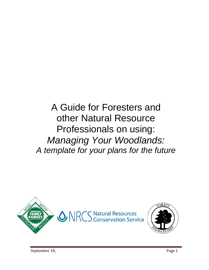A Guide for Foresters and other Natural Resource Professionals on using: *Managing Your Woodlands: A template for your plans for the future*

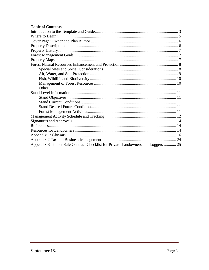### **Table of Contents**

| Appendix 3 Timber Sale Contract Checklist for Private Landowners and Loggers  25 |
|----------------------------------------------------------------------------------|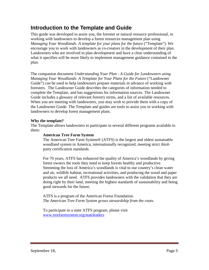# <span id="page-2-0"></span>**Introduction to the Template and Guide**

This guide was developed to assist you, the forester or natural resource professional, in working with landowners to develop a forest resources management plan using *Managing Your Woodlands: A template for your plans for the future* ("Template"). We encourage you to work with landowners as co-creators in the development of their plan. Landowners who are involved in plan development and have a clear understanding of what it specifies will be more likely to implement management guidance contained in the plan.

The companion document *Understanding Your Plan - A Guide for Landowners using Managing Your Woodlands: A Template for Your Plans for the Future* ("Landowner Guide") can be used to help landowners prepare materials in advance of working with foresters. The Landowner Guide describes the categories of information needed to complete the Template, and has suggestions for information sources. The Landowner Guide includes a glossary of relevant forestry terms, and a list of available resources. When you are meeting with landowners, you may wish to provide them with a copy of the Landowner Guide. The Template and guides are tools to assist you in working with landowners to develop forest management plans.

### **Why the template?**

The Template allows landowners to participate in several different programs available to them:

### **American Tree Farm System**

The American Tree Farm System® (ATFS) is the largest and oldest sustainable woodland system in America, internationally recognized, meeting strict thirdparty certification standards.

For 70 years, ATFS has enhanced the quality of America's woodlands by giving forest owners the tools they need to keep forests healthy and productive. Stemming the loss of America's woodlands is vital to our country's clean water and air, wildlife habitat, recreational activities, and producing the wood and paper products we all need. ATFS provides landowners with the validation that they are doing right by their land, meeting the highest standards of sustainability and being good stewards for the future.

ATFS is a program of the American Forest Foundation. *The American Tree Farm System grows stewardship from the roots.*

To participate in a state ATFS program, please visit [www.treefarmsystem.org/stateleaders](http://www.treefarmsystem.org/stateleaders)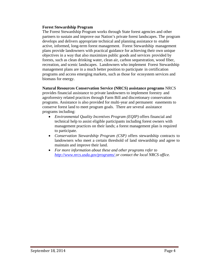#### **Forest Stewardship Program**

The Forest Stewardship Program works through State forest agencies and other partners to sustain and improve our Nation's private forest landscapes. The program develops and delivers appropriate technical and planning assistance to enable active, informed, long-term forest management. Forest Stewardship management plans provide landowners with practical guidance for achieving their own unique objectives in a way that also maximizes public goods and services provided by forests, such as clean drinking water, clean air, carbon sequestration, wood fiber, recreation, and scenic landscapes. Landowners who implement Forest Stewardship management plans are in a much better position to participate in certification programs and access emerging markets, such as those for ecosystem services and biomass for energy.

#### **Natural Resources Conservation Service (NRCS) assistance programs** NRCS

provides financial assistance to private landowners to implement forestry and agroforestry related practices through Farm Bill and discretionary conservation programs. Assistance is also provided for multi-year and permanent easements to conserve forest land to meet program goals. There are several assistance programs including:

- *Environmental Quality Incentives Program (EQIP)* offers financial and technical help to assist eligible participants including forest owners with management practices on their lands; a forest management plan is required to participate.
- *Conservation Stewardship Program (CSP)* offers stewardship contracts to landowners who meet a certain threshold of land stewardship and agree to maintain and improve their land.
- *For more information about these and other programs refer to <http://www.nrcs.usda.gov/programs/> or contact the local NRCS office.*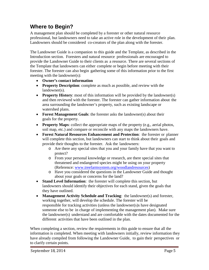# <span id="page-4-0"></span>**Where to Begin?**

A management plan should be completed by a forester or other natural resource professional, but landowners need to take an active role in the development of their plan. Landowners should be considered co-creators of the plan along with the forester.

The Landowner Guide is a companion to this guide and the Template, as described in the Introduction section. Foresters and natural resource professionals are encouraged to provide the Landowner Guide to their clients as a resource. There are several sections of the Template that landowners can either complete or begin before meeting with their forester. The forester can also begin gathering some of this information prior to the first meeting with the landowner(s):

- **Owner's contact information**
- **Property Description**: complete as much as possible, and review with the landowner(s).
- **Property History**: most of this information will be provided by the landowner(s) and then reviewed with the forester. The forester can gather information about the area surrounding the landowner's property, such as existing landscape or watershed plans.
- **Forest Management Goals**: the forester asks the landowner(s) about their goals for the property.
- **Property Maps**: collect the appropriate maps of the property (e.g., aerial photos, soil map, etc.) and compare or reconcile with any maps the landowners have.
- **Forest Natural Resources Enhancement and Protection**: the forester or planner will complete this section, but landowners can start to think about their goals and provide their thoughts to the forester. Ask the landowners:
	- o Are there any special sites that you and your family have that you want to protect?
	- o From your personal knowledge or research, are there special sites that threatened and endangered species might be using on your property (Reference: [www.treefarmsystem.org/woodlandresources\)](http://www.treefarmsystem.org/woodlandresources))
	- o Have you considered the questions in the Landowner Guide and thought about your goals or concerns for the land?
- **Stand Level Information**: the forester will complete this section, but landowners should identify their objectives for each stand, given the goals that they have outlined.
- **Management Activity Schedule and Tracking**: the landowner(s) and forester, working together, will develop the schedule. The forester will be responsible for tracking activities (unless the landowner(s)s have designated someone else to be in charge of implementing the management plan). Make sure the landowner(s) understand and are comfortable with the dates documented for the different activities that have been outlined in the plan.

When completing a section, review the requirements in this guide to ensure that all the information is completed. When meeting with landowners initially, review information they have already compiled from following the Landowner Guide, to gain their perspectives or to clarify certain points.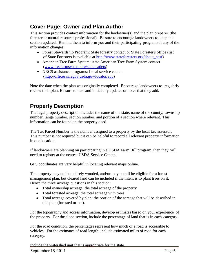# <span id="page-5-0"></span>**Cover Page: Owner and Plan Author**

This section provides contact information for the landowner(s) and the plan preparer (the forester or natural resource professional). Be sure to encourage landowners to keep this section updated. Remind them to inform you and their participating programs if any of the information changes:

- Forest Stewardship Program: State forestry contact or State Forester's office (list of State Foresters is available at [http://www.stateforesters.org/about\\_nasf\)](http://www.stateforesters.org/about_nasf))
- American Tree Farm System: state American Tree Farm System contact [\(www.treefarmsystem.org/stateleaders\)](http://www.treefarmsystem.org/stateleaders))
- NRCS assistance programs: Local service center [\(http://offices.sc.egov.usda.gov/locator/app\)](http://offices.sc.egov.usda.gov/locator/app))

Note the date when the plan was originally completed. Encourage landowners to regularly review their plan. Be sure to date and initial any updates or notes that they add.

# <span id="page-5-1"></span>**Property Description**

The legal property description includes the name of the state, name of the county, township number, range number, section number, and portion of a section where relevant. This information can be found on the property deed.

The Tax Parcel Number is the number assigned to a property by the local tax assessor. This number is not required but it can be helpful to record all relevant property information in one location.

If landowners are planning on participating in a USDA Farm Bill program, then they will need to register at the nearest USDA Service Center.

GPS coordinates are very helpful in locating relevant maps online.

The property may not be entirely wooded, and/or may not all be eligible for a forest management plan, but cleared land can be included if the intent is to plant trees on it. Hence the three acreage questions in this section:

- Total ownership acreage: the total acreage of the property
- Total forested acreage: the total acreage with trees
- Total acreage covered by plan: the portion of the acreage that will be described in this plan (forested or not).

For the topography and access information, develop estimates based on your experience of the property. For the slope section, include the percentage of land that is in each category.

For the road condition, the percentages represent how much of a road is accessible to vehicles. For the estimates of road length, include estimated miles of road for each category.

Include the watershed unit that is appropriate for the state.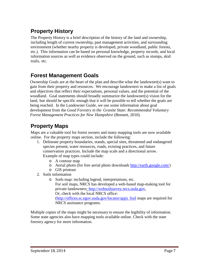# <span id="page-6-0"></span>**Property History**

The Property History is a brief description of the history of the land and ownership, including length of current ownership, past management activities, and surrounding environment (whether nearby property is developed, private woodland, public forests, etc.). This information can be based on personal knowledge, property records, and local information sources as well as evidence observed on the ground, such as stumps, skid trails, etc.

# <span id="page-6-1"></span>**Forest Management Goals**

Ownership Goals are at the heart of the plan and describe what the landowner(s) want to gain from their property and resources. We encourage landowners to make a list of goals and objectives that reflect their expectations, personal values, and the potential of the woodland. Goal statements should broadly summarize the landowner(s) vision for the land, but should be specific enough that it will be possible to tell whether the goals are being reached. In the Landowner Guide, we use some information about goal development from the *Good Forestry in the Granite State: Recommended Voluntary Forest Management Practices for New Hampshire* (Bennett, 2010).

# <span id="page-6-2"></span>**Property Maps**

Maps are a valuable tool for forest owners and many mapping tools are now available online. For the property maps section, include the following:

- 1. Delineate property boundaries, stands, special sites, threatened and endangered species present, water resources, roads, existing practices, and future conservation practices. Include the map scale and a directional arrow. Example of map types could include:
	- o A contour map
	- o Aerial photo (for free aerial photo downloads [http://earth.google.com/\)](http://earth.google.com/))
	- o GIS printout
- 2. Soils information
	- o Soils map: including legend, interpretations, etc. For soil maps, NRCS has developed a web-based map-making tool for private landowners: [http://websoilsurvey.nrcs.usda.gov.](http://websoilsurvey.nrcs.usda.gov/) Or, check with the local NRCS office: [\(http://offices.sc.egov.usda.gov/locator/app\). Soil](http://offices.sc.egov.usda.gov/locator/app).%20Soil) maps are required for NRCS assistance programs.

Multiple copies of the maps might be necessary to ensure the legibility of information. Some state agencies also have mapping tools available online. Check with the state forestry agency for more information.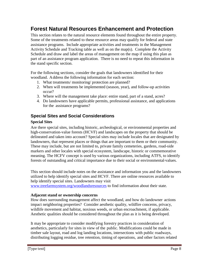# <span id="page-7-0"></span>**Forest Natural Resources Enhancement and Protection**

This section relates to the natural resource elements found throughout the entire property. Some of the treatments related to these resource areas may qualify for federal and state assistance programs. Include appropriate activities and treatments in the Management Activity Schedule and Tracking table as well as on the map(s). Complete the Activity Schedule and draw and label the areas of management on the map if using this plan as part of an assistance program application. There is no need to repeat this information in the stand specific section.

For the following sections, consider the goals that landowners identified for their woodland. Address the following information for each section:

- 1. What treatments/ monitoring/ protection are planned?
- 2. When will treatments be implemented (season, year), and follow-up activities occur?
- 3. Where will the management take place: entire stand, part of a stand, acres?
- 4. Do landowners have applicable permits, professional assistance, and applications for the assistance programs?

## <span id="page-7-1"></span>**Special Sites and Social Considerations**

### **Special Sites**

Are there special sites, including historic, archeological, or environmental properties and high-conservation-value forests (HCVF) and landscapes on the property that should be delineated and taken into account? Special sites may include locales that are designated by landowners, that represent places or things that are important to them or their community. These may include, but are not limited to, private family cemeteries, gardens, road-side markers and other locales with special ecosystem, landscape, historic or commemorative meaning. The HCFV concept is used by various organizations, including ATFS, to identify forests of outstanding and critical importance due to their social or environmental values.

This section should include notes on the assistance and information you and the landowners utilized to help identify special sites and HCVF. There are online resources available to help identify special sites. Landowners may visit

[www.treefarmsystem.org/woodlandsresources](http://www.treefarmsystem.org/woodlandsresources) to find information about their state.

## **Adjacent stand or ownership concerns**

How does surrounding management affect the woodland, and how do landowner actions impact neighboring properties? Consider aesthetic quality, wildfire concerns, privacy, wildlife movement and habitat, noxious weeds, or urban encroachment, if applicable. Aesthetic qualities should be considered throughout the plan as it is being developed.

It may be appropriate to consider modifying forestry practices in consideration of aesthetics, particularly for sites in view of the public. Modifications could be made in timber sale layout, road and log landing locations, intersections with public roadways, distributing logging residue, tree retention, timing of operations, and other factors related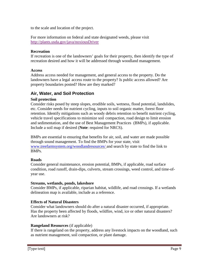to the scale and location of the project.

For more information on federal and state designated weeds, please visit <http://plants.usda.gov/java/noxiousDriver>

#### **Recreation**

If recreation is one of the landowners' goals for their property, then identify the type of recreation desired and how it will be addressed through woodland management.

### **Access**

Address access needed for management, and general access to the property. Do the landowners have a legal access route to the property? Is public access allowed? Are property boundaries posted? How are they marked?

## <span id="page-8-0"></span>**Air, Water, and Soil Protection**

### **Soil protection**

Consider risks posed by steep slopes, erodible soils, wetness, flood potential, landslides, etc. Consider needs for nutrient cycling, inputs to soil organic matter, forest floor retention. Identify mitigations such as woody debris retention to benefit nutrient cycling, vehicle travel specifications to minimize soil compaction, road design to limit erosion and sedimentation, and the use of Best Management Practices (BMPs), if applicable. Include a soil map if desired (**Note**: required for NRCS).

BMPs are essential to ensuring that benefits for air, soil, and water are made possible through sound management. To find the BMPs for your state, visit [www.treefarmsystem.org/woodlandresources/ a](http://www.treefarmsystem.org/woodlandresources/)nd search by state to find the link to BMPs.

## **Roads**

Consider general maintenance, erosion potential, BMPs, if applicable, road surface condition, road runoff, drain-dips, culverts, stream crossings, weed control, and time-ofyear use.

#### **Streams, wetlands, ponds, lakeshore**

Consider BMPs, if applicable, riparian habitat, wildlife, and road crossings. If a wetlands delineation map is available, include as a reference.

## **Effects of Natural Disasters**

Consider what landowners should do after a natural disaster occurred, if appropriate. Has the property been affected by floods, wildfire, wind, ice or other natural disasters? Are landowners at risk?

## **Rangeland Resources** (if applicable)

If there is rangeland on the property, address any livestock impacts on the woodland, such as nutrient management, soil compaction, or plant damage.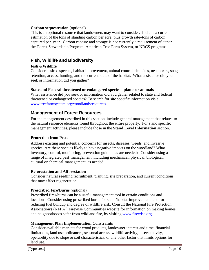### **Carbon sequestration** (optional)

This is an optional resource that landowners may want to consider. Include a current estimation of the tons of standing carbon per acre, plus growth rate–tons of carbon captured per year. Carbon capture and storage is not currently a requirement of either the Forest Stewardship Program, American Tree Farm System, or NRCS programs.

## <span id="page-9-0"></span>**Fish, Wildlife and Biodiversity**

### **Fish &Wildlife**

Consider desired species, habitat improvement, animal control, den sites, nest boxes, snag retention, access, hunting, and the current state of the habitat. What assistance did you seek or information did you gather?

#### **State and Federal threatened or endangered species - plants or animals**

What assistance did you seek or information did you gather related to state and federal threatened or endangered species? To search for site specific information visit [www.treefarmsystem.org/woodlandsresources.](http://www.treefarmsystem.org/woodlandsresources)

## <span id="page-9-1"></span>**Management of Forest Resources**

For the management described in this section, include general management that relates to the natural resource elements found throughout the entire property. For stand specific management activities, please include those in the **Stand Level Information** section.

#### **Protection from Pests**

Address existing and potential concerns for insects, diseases, weeds, and invasive species. Are these species likely to have negative impacts on the woodland? What inventory, control, monitoring, prevention guidelines are needed? Consider using a range of integrated pest management, including mechanical, physical, biological, cultural or chemical management, as needed.

#### **Reforestation and Afforestation**

Consider natural seedling recruitment, planting, site preparation, and current conditions that may affect regeneration.

#### **Prescribed Fire/Burns** (optional)

Prescribed fires/burns can be a useful management tool in certain conditions and locations. Consider using prescribed burns for stand/habitat improvement, and for reducing fuel buildup and degree of wildfire risk. Consult the National Fire Protection Association's (NFPA ) Firewise Communities website for information on making homes and neighborhoods safer from wildland fire, by visiting [www.firewise.org.](http://www.firewise.org/)

#### **Management Plan Implementation Constraints**

Consider available markets for wood products, landowner interest and time, financial limitations, land use ordinances, seasonal access, wildlife activity, insect activity, operability due to slope or soil characteristics, or any other factor that limits options for land use.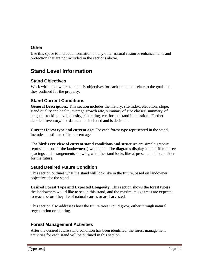## <span id="page-10-0"></span>**Other**

Use this space to include information on any other natural resource enhancements and protection that are not included in the sections above.

# <span id="page-10-1"></span>**Stand Level Information**

## <span id="page-10-2"></span>**Stand Objectives**

Work with landowners to identify objectives for each stand that relate to the goals that they outlined for the property.

## <span id="page-10-3"></span>**Stand Current Conditions**

**General Description**:. This section includes the history, site index, elevation, slope, stand quality and health, average growth rate, summary of size classes, summary of heights, stocking level, density, risk rating, etc. for the stand in question. Further detailed inventory/plot data can be included and is desirable.

**Current forest type and current age**: For each forest type represented in the stand, include an estimate of its current age.

**The bird's eye view of current stand conditions and structure** are simple graphic representations of the landowner(s) woodland. The diagrams display some different tree spacings and arrangements showing what the stand looks like at present, and to consider for the future.

## <span id="page-10-4"></span>**Stand Desired Future Condition**

This section outlines what the stand will look like in the future, based on landowner objectives for the stand.

**Desired Forest Type and Expected Longevity**: This section shows the forest type(s) the landowners would like to see in this stand, and the maximum age trees are expected to reach before they die of natural causes or are harvested.

This section also addresses how the future trees would grow, either through natural regeneration or planting.

## <span id="page-10-5"></span>**Forest Management Activities**

After the desired future stand condition has been identified, the forest management activities for each stand will be outlined in this section.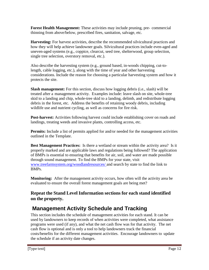**Forest Health Management:** These activities may include pruning, pre- commercial thinning from above/below, prescribed fires, sanitation, salvage, etc.

**Harvesting:** For harvest activities, describe the recommended silvicultural practices and how they will help achieve landowner goals. Silvicultural practices include even-aged and uneven-aged systems (e.g., coppice, clearcut, seed tree, shelterwood, group selection, single tree selection, overstory removal, etc.).

Also describe the harvesting system (e.g., ground based, in-woods chipping, cut-tolength, cable logging, etc.), along with the time of year and other harvesting considerations. Include the reason for choosing a particular harvesting system and how it protects the site.

**Slash management:** For this section, discuss how logging debris (i.e., slash) will be treated after a management activity. Examples include: leave slash on site, whole-tree skid to a landing and chip, whole-tree skid to a landing, delimb, and redistribute logging debris in the forest, etc. Address the benefits of retaining woody debris, including wildlife use and nutrient cycling, as well as concerns for fire risk.

**Post-harvest:** Activities following harvest could include establishing cover on roads and landings, treating weeds and invasive plants, controlling access, etc.

**Permits:** Include a list of permits applied for and/or needed for the management activities outlined in the Template.

**Best Management Practices:** Is there a wetland or stream within the activity area? Is it properly marked and are applicable laws and regulations being followed? The application of BMPs is essential to ensuring that benefits for air, soil, and water are made possible through sound management. To find the BMPs for your state, visit [www.treefarmsystem.org/woodlandresources/ a](http://www.treefarmsystem.org/woodlandresources/)nd search by state to find the link to BMPs.

**Monitoring:** After the management activity occurs, how often will the activity area be evaluated to ensure the overall forest management goals are being met?

# **Repeat the Stand Level Information sections for each stand identified on the property.**

# <span id="page-11-0"></span>**Management Activity Schedule and Tracking**

This section includes the schedule of management activities for each stand. It can be used by landowners to keep records of when activities were completed, what assistance programs were used (if any), and what the net cash flow was for that activity. The net cash flow is optional and is only a tool to help landowners track the financial costs/benefits for the different management activities. Encourage landowners to update the schedule if an activity date changes.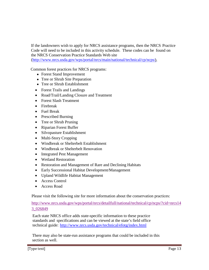If the landowners wish to apply for NRCS assistance programs, then the NRCS Practice Code will need to be included in this activity schedule. These codes can be found on the NRCS Conservation Practice Standards Web site

[\(http://www.nrcs.usda.gov/wps/portal/nrcs/main/national/technical/cp/ncps/\)](http://www.nrcs.usda.gov/wps/portal/nrcs/main/national/technical/cp/ncps/).

Common forest practices for NRCS programs:

- Forest Stand Improvement
- Tree or Shrub Site Preparation
- Tree or Shrub Establishment
- Forest Trails and Landings
- Road/Trail/Landing Closure and Treatment
- Forest Slash Treatment
- Firebreak
- Fuel Break
- Prescribed Burning
- Tree or Shrub Pruning
- Riparian Forest Buffer
- Silvopasture Establishment
- Multi-Story Cropping
- Windbreak or Shelterbelt Establishment
- Windbreak or Shelterbelt Renovation
- Integrated Pest Management
- Wetland Restoration
- Restoration and Management of Rare and Declining Habitats
- Early Successional Habitat Development/Management
- Upland Wildlife Habitat Management
- Access Control
- Access Road

Please visit the following site for more information about the conservation practices:

[http://www.nrcs.usda.gov/wps/portal/nrcs/detailfull/national/technical/cp/ncps/?cid=nrcs14](http://www.nrcs.usda.gov/wps/portal/nrcs/detailfull/national/technical/cp/ncps/?cid=nrcs143_026849) [3\\_026849](http://www.nrcs.usda.gov/wps/portal/nrcs/detailfull/national/technical/cp/ncps/?cid=nrcs143_026849)

Each state NRCS office adds state-specific information to these practice standards and specifications and can be viewed at the state's field office technical guide: <http://www.nrcs.usda.gov/technical/efotg/index.html>

There may also be state-run assistance programs that could be included in this section as well.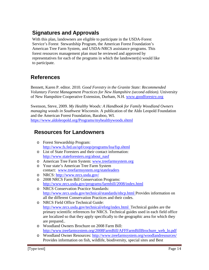# <span id="page-13-0"></span>**Signatures and Approvals**

With this plan, landowners are eligible to participate in the USDA-Forest Service's Forest Stewardship Program, the American Forest Foundation's American Tree Farm System, and USDA-NRCS assistance programs. This forest resources management plan must be reviewed and approved by representatives for each of the programs in which the landowner(s) would like to participate.

# <span id="page-13-1"></span>**References**

Bennett, Karen P. editor. 2010. *Good Forestry in the Granite State: Recommended Voluntary Forest Management Practices for New Hampshire (second edition)*. University of New Hampshire Cooperative Extension, Durham, N.H. [www.goodforestry.org](http://www.goodforestry.org/)

Swenson, Steve, 2009. *My Healthy Woods: A Handbook for Family Woodland Owners managing woods in Southwest Wisconsin.* A publication of the Aldo Leopold Foundation and the American Forest Foundation, Baraboo, WI. [https://www.aldoleopold.org/Pro](http://www.aldoleopold.org/Programs/myhealthywoods.shtml)grams[/myhealthywoods.shtml](http://www.aldoleopold.org/Programs/myhealthywoods.shtml)

# <span id="page-13-2"></span>**Resources for Landowners**

- o Forest Stewardship Program: <http://www.fs.fed.us/spf/coop/programs/loa/fsp.shtml>
- o List of State Foresters and their contact information: [http://www.stateforesters.org/about\\_nasf](http://www.stateforesters.org/about_nasf)
- o American Tree Farm System: [www.treefarmsystem.org](http://www.treefarmsystem.org/)
- o Your state's American Tree Farm System contact: [www.treefarmsystem.org/stateleaders](http://www.treefarmsystem.org/stateleaders)
- o NRCS:<http://www.nrcs.usda.gov/>
- o 2008 NRCS Farm Bill Conservation Programs: <http://www.nrcs.usda.gov/programs/farmbill/2008/index.html>
- o NRCS Conservation Practice Standards: [http://www.nrcs.usda.gov/technical/standards/nhcp.html P](http://www.nrcs.usda.gov/technical/standards/nhcp.html)rovides information on all the different Conservation Practices and their codes.
- o NRCS Field Office Technical Guide: <http://www.nrcs.usda.gov/technical/efotg/index.html> Technical guides are the primary scientific references for NRCS. Technical guides used in each field office are localized so that they apply specifically to the geographic area for which they are prepared..
- o Woodland Owners Brochure on 2008 Farm Bill: [http://www.treefarmsystem.org/2008FarmBill/AFFFarmBillBrochure\\_web\\_lo.pdf](http://www.treefarmsystem.org/2008FarmBill/AFFFarmBillBrochure_web_lo.pdf)
- o Woodland Owner Resources: <http://www.treefarmsystem.org/woodlandresources/> Provides information on fish, wildlife, biodiversity, special sites and Best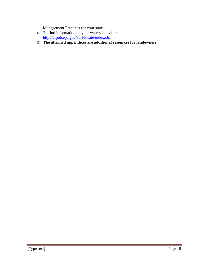Management Practices for your state.

- o To find information on your watershed, visit: <http://cfpub.epa.gov/surf/locate/index.cfm>
- o **The attached appendices are additional resources for landowners**.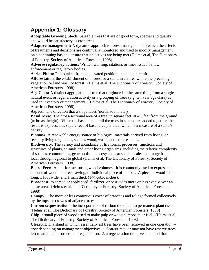# <span id="page-15-0"></span>**Appendix 1: Glossary**

**Acceptable Growing Stock:** Saleable trees that are of good form, species and quality and would be satisfactory as crop trees. .

**Adaptive management:** A dynamic approach to forest management in which the effects of treatments and decisions are continually monitored and used to modify management on a continuing basis to ensure that objectives are being met (Helms et al, The Dictionary of Forestry, Society of American Foresters, 1998)

**Adverse regulatory actions:** Written warning, citations or fines issued by law enforcement or regulatory bodies.

**Aerial Photo:** Photo taken from an elevated position like on an aircraft.

**Afforestation**: the establishment of a forest or a stand in an area where the preceding vegetation or land was not forest. (Helms et al, The Dictionary of Forestry, Society of American Foresters, 1998)

**Age Class:** A distinct aggregation of tree that originated at the same time, from a single natural event or regeneration activity or a grouping of trees (e.g. ten year age class) as used in inventory or management. (Helms et al, The Dictionary of Forestry, Society of American Foresters, 1998)

Aspect: The direction that a slope faces (north, south, etc.)

**Basal Area:** The cross-sectional area of a tree, in square feet, at 4.5 feet from the ground (at breast height). When the basal area of all the trees in a stand are added together, the result is expressed as square feet of basal area per acre, which is a measure of a stand's density.

**Biomass:** A renewable energy source of biological materials derived from living, or recently living organisms, such as wood, waste, and crop residues.

**Biodiversity:** The variety and abundance of life forms, processes, functions and structures of plants, animals and other living organisms, including the relative complexity of species, communities, gene pools and ecosystems at spatial scales that range from local through regional to global (Helms et al, The Dictionary of Forestry, Society of American Foresters, 1998).

**Board Feet:** A unit for measuring wood volumes. It is commonly used to express the amount of wood in a tree, sawlog, or individual piece of lumber. A piece of wood 1 foot long, 1 foot wide, and 1 inch thick (144 cubic inches).

**Broadcast**: to spread or apply seed, fertilizer, or pesticides more or less evenly over an entire area. (Helms et al, The Dictionary of Forestry, Society of American Foresters, 1998)

**Canopy:** The more or less continuous cover of branches and foliage formed collectively by the tops, or crowns of adjacent trees.

**Carbon sequestration**: the incorporation of carbon dioxide into permanent plant tissue. (Helms et al, The Dictionary of Forestry, Society of American Foresters, 1998)

**Chip**: a small piece of wood used to make pulp or wood composite or fuel. (Helms et al, The Dictionary of Forestry, Society of American Foresters, 1998)

**Clearcut**: 1. a stand in which essentially all trees have been removed in one operation – *note* depending on management objectives, a clearcut may or may not have reserve trees left to attain goals other than regeneration. 2. a regeneration or harvest method that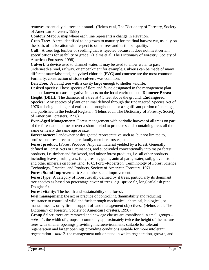removes essentially all trees in a stand. (Helms et al, The Dictionary of Forestry, Society of American Foresters, 1998)

**Contour Map:** A map where each line represents a change in elevation.

**Crop Tree:** A tree identified to be grown to maturity for the final harvest cut, usually on the basis of its location with respect to other trees and its timber quality.

**Cull:** A tree, log, lumber or seedling that is rejected because it does not meet certain specifications for usability or grade. (Helms et al, The Dictionary of Forestry, Society of American Foresters, 1998)

**Culvert**: a device used to channel water. It may be used to allow water to pass underneath a road, railway, or embankment for example. Culverts can be made of many different materials; steel, polyvinyl chloride (PVC) and concrete are the most common. Formerly, construction of stone culverts was common.

**Den Tree:** A living tree with a cavity large enough to shelter wildlife.

**Desired species:** Those species of flora and fauna designated in the management plan and not known to cause negative impacts on the local environment. **Diameter Breast Height (DBH):** The diameter of a tree at 4.5 feet above the ground. **Endangered Species:** Any species of plant or animal defined through the Endangered Species Act of 1976 as being in danger of extinction throughout all or a significant portion of its range, and published in the Federal Register. (Helms et al, The Dictionary of Forestry, Society of American Foresters, 1998)

**Even-Aged Management:** Forest management with periodic harvest of all trees on part of the forest at one time or over a short period to produce stands containing trees all the same or nearly the same age or size.

**Forest owner:** Landowner or designated representative such as, but not limited to, professional resource manager, family member, trustee, etc.

**Forest product:** [Forest Produce] Any raw material yielded by a forest. Generally defined in Forest Acts or Ordinances, and subdivided conventionally into major forest products, i.e. timber and fuelwood, and minor forest products, i.e. all other products including leaves, fruit, grass, fungi, resins, gums, animal parts, water, soil, gravel, stone and other minerals on forest land (F. C. Ford –Robertson, Terminology of Forest Science Technology, Practice, and Products, Society of American Foresters, 1971.

**Forest Stand Improvement:** See timber stand improvement.

**Forest type:** A category of forest usually defined by it trees, particularly its dominant tree species as based on percentage cover of trees, e.g. spruce fir, longleaf-slash pine, Douglas fir.

**Forest vitality:** The health and sustainability of a forest.

**Fuel management**: the act or practice of controlling flammability and reducing resistance to control of wildland fuels through mechanical, chemical, biological, or manual means, or by fire in support of land management objectives. (Helms et al, The Dictionary of Forestry, Society of American Foresters, 1998)

**Group Select**: trees are removed and new age classes are established in small groups – *note* – 1. the width of groups is commonly approximately twice the height of the mature trees with smaller openings providing microenvironments suitable for tolerant regeneration and larger openings providing conditions suitable for more intolerant regeneration – *note* 2. the management unit or stand in which regeneration, growth, and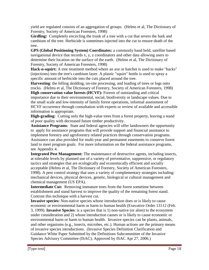yield are regulated consists of an aggregation of groups. (Helms et al, The Dictionary of Forestry, Society of American Foresters, 1998)

**Girdling:** Completely encircling the trunk of a tree with a cut that severs the bark and cambium of the tree. Herbicide is sometimes injected into the cut to ensure death of the tree.

**GPS (Global Positioning System) Coordinates:** a commonly hand held, satellite based navigational device that records x, y, z coordinators and other data allowing users to determine their location on the surface of the earth. (Helms et al, The Dictionary of Forestry, Society of American Foresters, 1998)

**Hack-n-squirt:** A tree treatment method where an axe or hatchet is used to make "hacks" (injections) into the tree's cambium layer. A plastic "squirt" bottle is used to spray a specific amount of herbicide into the cuts placed around the tree.

**Harvesting**: the felling skidding, on-site processing, and loading of trees or logs onto trucks. (Helms et al, The Dictionary of Forestry, Society of American Foresters, 1998)

**High conservation value forests (HCVF):** Forests of outstanding and critical importance due to their environmental, social, biodiversity or landscape values. Due to the small scale and low-intensity of family forest operations, informal assessment of HCVF occurrence through consultation with experts or review of available and accessible information is appropriate.

**High-grading:** Cutting only the high-value trees from a forest property, leaving a stand of poor quality with decreased future timber productivity.

**Assistance Programs**: State and federal agencies will offer landowners the opportunity to apply for assistance programs that will provide support and financial assistance to implement forestry and agroforestry related practices through conservation programs. Assistance can also provided for multi-year and permanent easements to conserve forest land to meet program goals. For more information on the federal assistance programs, see Appendix 4.

**Integrated Pest Management:** The maintenance of destructive agents, including insects, at tolerable levels by planned use of a variety of preventative, suppressive, or regulatory tactics and strategies that are ecologically and economically efficient and socially acceptable (Helms et al, The Dictionary of Forestry, Society of American Foresters, 1998). A pest control strategy that uses a variety of complementary strategies including: mechanical devices, physical devices, genetic, biological or cultural management and chemical management (US EPA).

**Intermediate Cut:** Removing immature trees from the forest sometime between establishment and stand harvest to improve the quality of the remaining forest stand. Contrast this technique with a harvest cut.

**Invasive species:** Non-native species whose introduction does or is likely to cause economic or environmental harm or harm to human health (Executive Order 13112 (Feb. 3, 1999). **Invasive Species**: is a species that is 1) non-native (or alien) to the ecosystem under consideration and 2) whose introduction causes or is likely to cause economic or environmental harm or harm to human health. Invasive species can be plants, animals, and other organisms (e.g., insects, microbes, etc.). Human actions are the primary means of invasive species introductions. (Invasive Species Definition Clarification and Guidance White Paper Submitted by the Definitions Subcommittee of the Invasive Species Advisory Committee (ISAC), Approved by ISAC Apr 27, 2006.)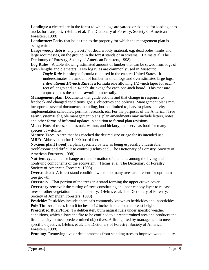**Landings**: a cleared are in the forest to which logs are yarded or skidded for loading onto trucks for transport. (Helms et al, The Dictionary of Forestry, Society of American Foresters, 1998)

Landowner: Entity that holds title to the property for which the management plan is being written.

**Large woody debris:** any piece(s) of dead woody material, e.g. dead boles, limbs and large root masses, on the ground in the forest stands or in streams. (Helms et al, The Dictionary of Forestry, Society of American Foresters, 1998)

**Log Rules:** A table showing estimated amount of lumber that can be sawed from logs of given lengths and diameters. Two log rules are commonly used in Missouri:

*Doyle Rule* is a simple formula rule used in the eastern United States. It underestimates the amount of lumber in small logs and overestimates large logs. *International 1/4-inch Rule* is a formula rule allowing  $1/2$  –inch taper for each 4 feet of length and 1/16-inch shrinkage for each one-inch board. This measure approximates the actual sawmill lumber tally.

**Management plan:** Documents that guide actions and that change in response to feedback and changed conditions, goals, objectives and policies. Management plans may incorporate several documents including, but not limited to, harvest plans, activity implementation schedules, permits, research, etc. For the purposes of the American Tree Farm System® eligible management plans, plan amendments may include letters, notes, and other forms of informal updates in addition to formal plan revisions.

**Mast:** Nuts of trees, such as oak, walnut, and hickory, that serve as food for many species of wildlife.

**Mature Tree:** A tree that has reached the desired size or age for its intended use. **MBF:** Abbreviation for 1,000 board feet.

**Noxious plant (weed):** a plant specified by law as being especially undesirable, troublesome and difficult to control (Helms et al, The Dictionary of Forestry, Society of American Foresters, 1998)

**Nutrient cycle**: the exchange or transformation of elements among the living and nonliving components of the ecosystem. (Helms et al, The Dictionary of Forestry, Society of American Foresters, 1998)

**Overstocked:** A forest stand condition where too many trees are present for optimum tree growth.

**Overstory:** That portion of the trees in a stand forming the upper crown cover. **Overstory removal:** the cutting of trees constituting an upper canopy layer to release trees or other vegetation in an understory. (Helms et al, The Dictionary of Forestry, Society of American Foresters, 1998)

Pesticide: Pesticides include chemicals commonly known as herbicides and insecticides. **Pole Timber:** Trees from 6 inches to 12 inches in diameter at breast height.

**Prescribed Burn/Fire:** To deliberately burn natural fuels under specific weather conditions, which allows the fire to be confined to a predetermined area and produces the fire intensity to meet predetermined objectives. A fire ignited by management to meet specific objectives (Helms et al, The Dictionary of Forestry, Society of American Foresters, 1998).

**Pruning:** Removing live or dead branches from standing trees to improve wood quality.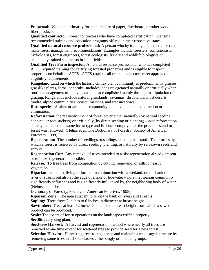**Pulpwood:** Wood cut primarily for manufacture of paper, fiberboard, or other wood fiber products.

**Qualified contractor:** Forest contractors who have completed certification, licensing, recommended training and education programs offered in their respective states.

**Qualified natural resource professional:** A person who by training and experience can make forest management recommendations. Examples include foresters, soil scientists, hydrologists, forest engineers, forest ecologists, fishery and wildlife biologists or technically trained specialists in such fields.

**Qualified Tree Farm inspector:** A natural resource professional who has completed ATFS required training for certifying forested properties and is eligible to inspect properties on behalf of ATFS. ATFS requires all trained inspectors meet approved eligibility requirements.

**Rangeland** Land on which the historic climax plant community is predominantly grasses, grasslike plants, forbs, or shrubs. Includes lands revegetated naturally or artificially when routine management of that vegetation is accomplished mainly through manipulation of grazing. Rangelands include natural grasslands, savannas, shrublands, most deserts, tundra, alpine communities, coastal marshes, and wet meadows

**Rare species:** A plant or animal or community that is vulnerable to extinction or elimination.

**Reforestation**: the reestablishment of forest cover either naturally (by natural seeding, coppice, or root suckers) or artificially (by direct seeding or planting) – *note* reforestation usually maintains the same forest type and is done promptly after the previous stand or forest was removed. (Helms et al, The Dictionary of Forestry, Society of American Foresters, 1998)

**Regeneration:** The number of seedlings or saplings existing in a stand. The process by which a forest is renewed by direct seeding, planting, or naturally by self-sown seeds and sprouts.

**Regeneration Cut:** Any removal of trees intended to assist regeneration already present or to make regeneration possible.

**Release:** To free trees from competition by cutting, removing, or killing nearby vegetation.

**Riparian**: related to, living or located in conjunction with a wetland, on the bank of a river or stream but also at the edge of a lake or tidewater – *note* the riparian community significantly influences and is significantly influenced by, the neighboring body of water. (Helms et al, The

Dictionary of Forestry, Society of American Foresters, 1998)

**Riparian Zone:** The area adjacent to or on the bank of rivers and streams.

**Sapling:** Trees from 2 inches to 6 inches in diameter at breast height.

**Sawtimber:** Trees at least 12 inches in diameter at breast height from which a sawed product can be produced.

**Scale:** The extent of forest operations on the landscape/certified property. **Seedling:** a young plant.

**Seed-tree Harvest:** A harvest and regeneration method where nearly all trees are removed at one time except for scattered trees to provide seed for a new forest.

**Selection Harvest:** Harvesting trees to regenerate and maintain a multi-aged structure by removing some trees in all size classes either singly or in small groups.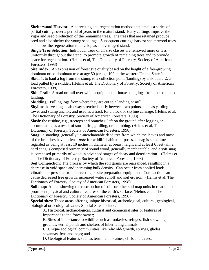**Shelterwood Harvest:** A harvesting and regeneration method that entails a series of partial cuttings over a period of years in the mature stand. Early cuttings improve the vigor and seed production of the remaining trees. The trees that are retained produce seed and also shelter the young seedlings. Subsequent cuttings harvest shelterwood trees and allow the regeneration to develop as an even-aged stand.

**Single Tree Selection:** Individual trees of all size classes are removed more or less uniformly throughout the stand, to promote growth of remaining trees and to provide space for regeneration. (Helms et al, The Dictionary of Forestry, Society of American Foresters, 1998)

**Site Index:** An expression of forest site quality based on the height of a free-growing dominant or co-dominant tree at age 50 (or age 100 in the western United States).

**Skid**: 1. to haul a log from the stump to a collection point (landing) by a skidder. 2. a load pulled by a skidder. (Helms et al, The Dictionary of Forestry, Society of American Foresters, 1998)

**Skid Trail:** A road or trail over which equipment or horses drag logs from the stump to a landing.

**Skidding:** Pulling logs from where they are cut to a landing or mill.

**Skyline**: harvesting a cableway stretched tautly between two points, such as yarding tower and stump anchor, and used as a track for a block or skyline carriage. (Helms et al, The Dictionary of Forestry, Society of American Foresters, 1998)

**Slash**: the residue, e.g., treetops and branches, left on the ground after logging or accumulating as a result of storm, fire, girdling, or delimbing. (Helms et al, The Dictionary of Forestry, Society of American Foresters, 1998)

**Snag**: a standing, generally un-merchantable dead tree from which the leaves and most of the branches have fallen – *note* for wildlife habitat purposes, a snag is sometimes regarded as being at least 10 inches in diameter at breast height and at least 6 feet tall; a hard snag is composed primarily of sound wood, generally merchantable, and a soft snag is composed primarily of wood in advanced stages of decay and deterioration. (Helms et al, The Dictionary of Forestry, Society of American Foresters, 1998)

**Soil Compaction:** The process by which the soil grains are rearranged, resulting in a decrease in void space and increasing bulk density. Can occur from applied loads, vibration or pressure from harvesting or site preparation equipment. Compaction can cause decreased tree growth, increased water runoff and soil erosion. (Helms et al, The Dictionary of Forestry, Society of American Foresters, 1998)

**Soil map:** A map showing the distribution of soils or other soil map units in relation to prominent physical and cultural features of the earth's surface. (Helms et al, The Dictionary of Forestry, Society of American Foresters, 1998)

**Special sites:** Those areas offering unique historical, archeological, cultural, geological, biological or ecological value. Special Sites include:

A. Historical, archaeological, cultural and ceremonial sites or features of importance to the forest owner;

B. Sites of importance to wildlife such as rookeries, refuges, fish spawning grounds, vernal ponds and shelters of hibernating animals;

C. Unique ecological communities like relic old-growth, springs, glades, savannas, fens and bogs; and

D. Geological features such as terminal moraines, cliffs and caves.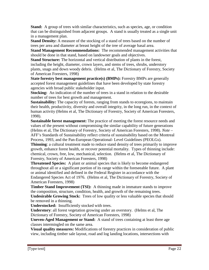**Stand:** A group of trees with similar characteristics, such as species, age, or condition that can be distinguished from adjacent groups. A stand is usually treated as a single unit in a management plan.

**Stand Density:** A measure of the stocking of a stand of trees based on the number of trees per area and diameter at breast height of the tree of average basal area.

**Stand Management Recommendations:** The recommended management activities that should be done in that stand, based on landowner goals and objectives.

**Stand Structure:** The horizontal and vertical distribution of plants in the forest, including the height, diameter, crown layers, and stems of trees, shrubs, understory plants, snags and down woody debris. (Helms et al, The Dictionary of Forestry, Society of American Foresters, 1998)

**State forestry best management practice(s) (BMPs):** Forestry BMPs are generally accepted forest management guidelines that have been developed by state forestry agencies with broad public stakeholder input.

**Stocking:** An indication of the number of trees in a stand in relation to the desirable number of trees for best growth and management.

**Sustainability:** The capacity of forests, ranging from stands to ecoregions, to maintain their health, productivity, diversity and overall integrity, in the long run, in the context of human activity (Helms et al, The Dictionary of Forestry, Society of American Foresters, 1998).

**Sustainable forest management:** The practice of meeting the forest resource needs and values of the present without compromising the similar capability of future generations (Helms et al, The Dictionary of Forestry, Society of American Foresters, 1998). *Note* – AFF's Standards of Sustainability reflect criteria of sustainability based on the Montreal Process, 1993, and the Pan-European Operational- Level Guidelines (PEOLGs).

**Thinning**: a cultural treatment made to reduce stand density of trees primarily to improve growth, enhance forest health, or recover potential mortality. Types of thinning include: chemical, crown, free, low, mechanical, selection. (Helms et al, The Dictionary of Forestry, Society of American Foresters, 1998)

**Threatened Species:** A plant or animal species that is likely to become endangered throughout all or a significant portion of its range within the foreseeable future. A plant or animal identified and defined in the Federal Register in accordance with the Endangered Species Act of 1976. (Helms et al, The Dictionary of Forestry, Society of American Foresters, 1998)

**Timber Stand Improvement (TSI):** A thinning made in immature stands to improve the composition, structure, condition, health, and growth of the remaining trees.

**Undesirable Growing Stock:** Trees of low quality or less valuable species that should be removed in a thinning.

**Understocked:** Insufficiently stocked with trees.

**Understory**: all forest vegetation growing under an overstory. (Helms et al, The Dictionary of Forestry, Society of American Foresters, 1998)

**Uneven-Aged Management or Stand:** A stand of trees containing at least three age classes intermingled on the same area.

**Visual quality measures:** Modifications of forestry practices in consideration of public view, including timber sale layout, road and log landing locations, intersections with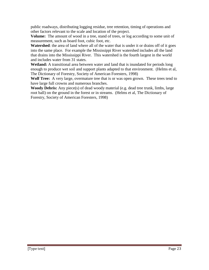public roadways, distributing logging residue, tree retention, timing of operations and other factors relevant to the scale and location of the project.

**Volume:** The amount of wood in a tree, stand of trees, or log according to some unit of measurement, such as board foot, cubic foot, etc.

**Watershed**: the area of land where all of the water that is under it or drains off of it goes into the same place. For example the Mississippi River watershed includes all the land that drains into the Mississippi River. This watershed is the fourth largest in the world and includes water from 31 states.

**Wetland:** A transitional area between water and land that is inundated for periods long enough to produce wet soil and support plants adapted to that environment. (Helms et al, The Dictionary of Forestry, Society of American Foresters, 1998)

**Wolf Tree:** A very large, overmature tree that is or was open grown. These trees tend to have large full crowns and numerous branches.

**Woody Debris:** Any piece(s) of dead woody material (e.g. dead tree trunk, limbs, large root ball) on the ground in the forest or in streams. (Helms et al, The Dictionary of Forestry, Society of American Foresters, 1998)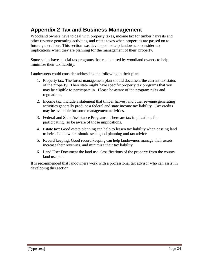# <span id="page-23-0"></span>**Appendix 2 Tax and Business Management**

Woodland owners have to deal with property taxes, income tax for timber harvests and other revenue generating activities, and estate taxes when properties are passed on to future generations. This section was developed to help landowners consider tax implications when they are planning for the management of their property.

Some states have special tax programs that can be used by woodland owners to help minimize their tax liability.

Landowners could consider addressing the following in their plan:

- 1. Property tax: The forest management plan should document the current tax status of the property. Their state might have specific property tax programs that you may be eligible to participate in. Please be aware of the program rules and regulations.
- 2. Income tax: Include a statement that timber harvest and other revenue generating activities generally produce a federal and state income tax liability. Tax credits may be available for some management activities.
- 3. Federal and State Assistance Programs: There are tax implications for participating, so be aware of those implications.
- 4. Estate tax: Good estate planning can help to lessen tax liability when passing land to heirs. Landowners should seek good planning and tax advice.
- 5. Record keeping: Good record keeping can help landowners manage their assets, increase their revenues, and minimize their tax liability.
- 6. Land Use: Document the land use classifications of the property from the county land use plan.

It is recommended that landowners work with a professional tax advisor who can assist in developing this section.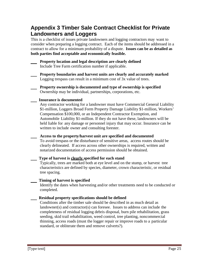# <span id="page-24-0"></span>**Appendix 3 Timber Sale Contract Checklist for Private Landowners and Loggers**

This is a checklist of issues private landowners and logging contractors may want to consider when preparing a logging contract. Each of the items should be addressed in a contract to allow for a minimum probability of a dispute. **Issues can be as detailed as both parties find acceptable and economically feasible.**

 **Property location and legal description are clearly defined** Include Tree Farm certification number if applicable.

 **Property boundaries and harvest units are clearly and accurately marked** Logging trespass can result in a minimum cost of 3x value of trees.

 **Property ownership is documented and type of ownership is specified** Ownership may be individual, partnerships, corporations, etc.

### **Insurance is documented**

Any contractor working for a landowner must have Commercial General Liability \$1-million, Loggers Broad Form Property Damage Liability \$1-million, Workers' Compensation \$100,000, or an Independent Contractor Exemption, and Automobile Liability \$1-million. If they do not have these, landowners will be held liable for any damage or personnel injury that may occur. Insurance can be written to include owner and consulting forester.

 **Access to the property/harvest unit are specified and documented**

To avoid trespass or the disturbance of sensitive areas, access routes should be clearly delineated. If access across other ownerships is required, written and notarized documentation of access permission should be obtained.

## **Type of harvest is clearly specified for each stand**

Typically, trees are marked both at eye level and on the stump, or harvest tree characteristics are defined by species, diameter, crown characteristic, or residual tree spacing.

## **Timing of harvest is specified**

Identify the dates when harvesting and/or other treatments need to be conducted or completed.

## **Residual property specifications should be defined**

Conditions after the timber sale should be described in as much detail as landowner(s) and contractor(s) can foresee. Issues to address can include the completeness of residual logging debris disposal, burn pile rehabilitation, grass seeding, skid trail rehabilitation, weed control, tree planting, noncommercial thinning, access roads (must the logger repair or improve roads to a particular standard, or obliterate them and remove culverts?).